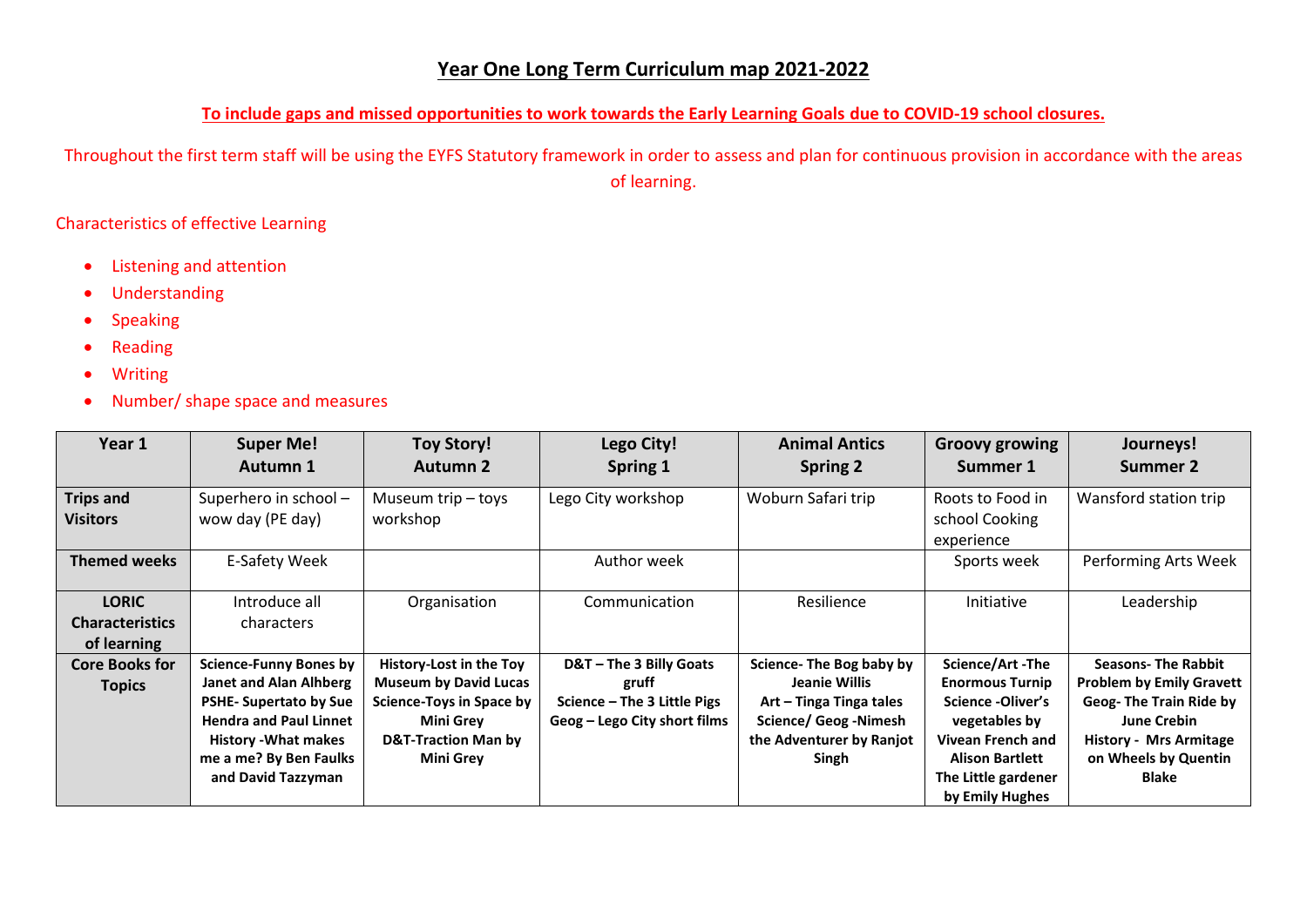## **Year One Long Term Curriculum map 2021-2022**

## **To include gaps and missed opportunities to work towards the Early Learning Goals due to COVID-19 school closures.**

Throughout the first term staff will be using the EYFS Statutory framework in order to assess and plan for continuous provision in accordance with the areas of learning.

## Characteristics of effective Learning

- Listening and attention
- Understanding
- Speaking
- **Reading**
- **Writing**
- Number/ shape space and measures

| Year 1                 | <b>Super Me!</b><br>Autumn 1  | <b>Toy Story!</b><br><b>Autumn 2</b> | Lego City!                   | <b>Animal Antics</b>         | <b>Groovy growing</b>    | Journeys!                       |
|------------------------|-------------------------------|--------------------------------------|------------------------------|------------------------------|--------------------------|---------------------------------|
|                        |                               |                                      | Spring 1                     | <b>Spring 2</b>              | Summer 1                 | <b>Summer 2</b>                 |
| <b>Trips and</b>       | Superhero in school -         | Museum trip $-$ toys                 | Lego City workshop           | Woburn Safari trip           | Roots to Food in         | Wansford station trip           |
| <b>Visitors</b>        | wow day (PE day)              | workshop                             |                              |                              | school Cooking           |                                 |
|                        |                               |                                      |                              |                              | experience               |                                 |
| <b>Themed weeks</b>    | E-Safety Week                 |                                      | Author week                  |                              | Sports week              | Performing Arts Week            |
|                        |                               |                                      |                              |                              |                          |                                 |
| <b>LORIC</b>           | Introduce all                 | Organisation                         | Communication                | Resilience                   | Initiative               | Leadership                      |
| <b>Characteristics</b> | characters                    |                                      |                              |                              |                          |                                 |
| of learning            |                               |                                      |                              |                              |                          |                                 |
| <b>Core Books for</b>  | <b>Science-Funny Bones by</b> | History-Lost in the Toy              | D&T – The 3 Billy Goats      | Science- The Bog baby by     | Science/Art -The         | <b>Seasons- The Rabbit</b>      |
| <b>Topics</b>          | Janet and Alan Alhberg        | <b>Museum by David Lucas</b>         | gruff                        | Jeanie Willis                | <b>Enormous Turnip</b>   | <b>Problem by Emily Gravett</b> |
|                        | <b>PSHE- Supertato by Sue</b> | <b>Science-Toys in Space by</b>      | Science - The 3 Little Pigs  | Art – Tinga Tinga tales      | Science -Oliver's        | Geog-The Train Ride by          |
|                        | <b>Hendra and Paul Linnet</b> | <b>Mini Grey</b>                     | Geog - Lego City short films | <b>Science/ Geog -Nimesh</b> | vegetables by            | <b>June Crebin</b>              |
|                        | <b>History - What makes</b>   | <b>D&amp;T-Traction Man by</b>       |                              | the Adventurer by Ranjot     | <b>Vivean French and</b> | <b>History - Mrs Armitage</b>   |
|                        | me a me? By Ben Faulks        | <b>Mini Grey</b>                     |                              | Singh                        | <b>Alison Bartlett</b>   | on Wheels by Quentin            |
|                        | and David Tazzyman            |                                      |                              |                              | The Little gardener      | <b>Blake</b>                    |
|                        |                               |                                      |                              |                              | by Emily Hughes          |                                 |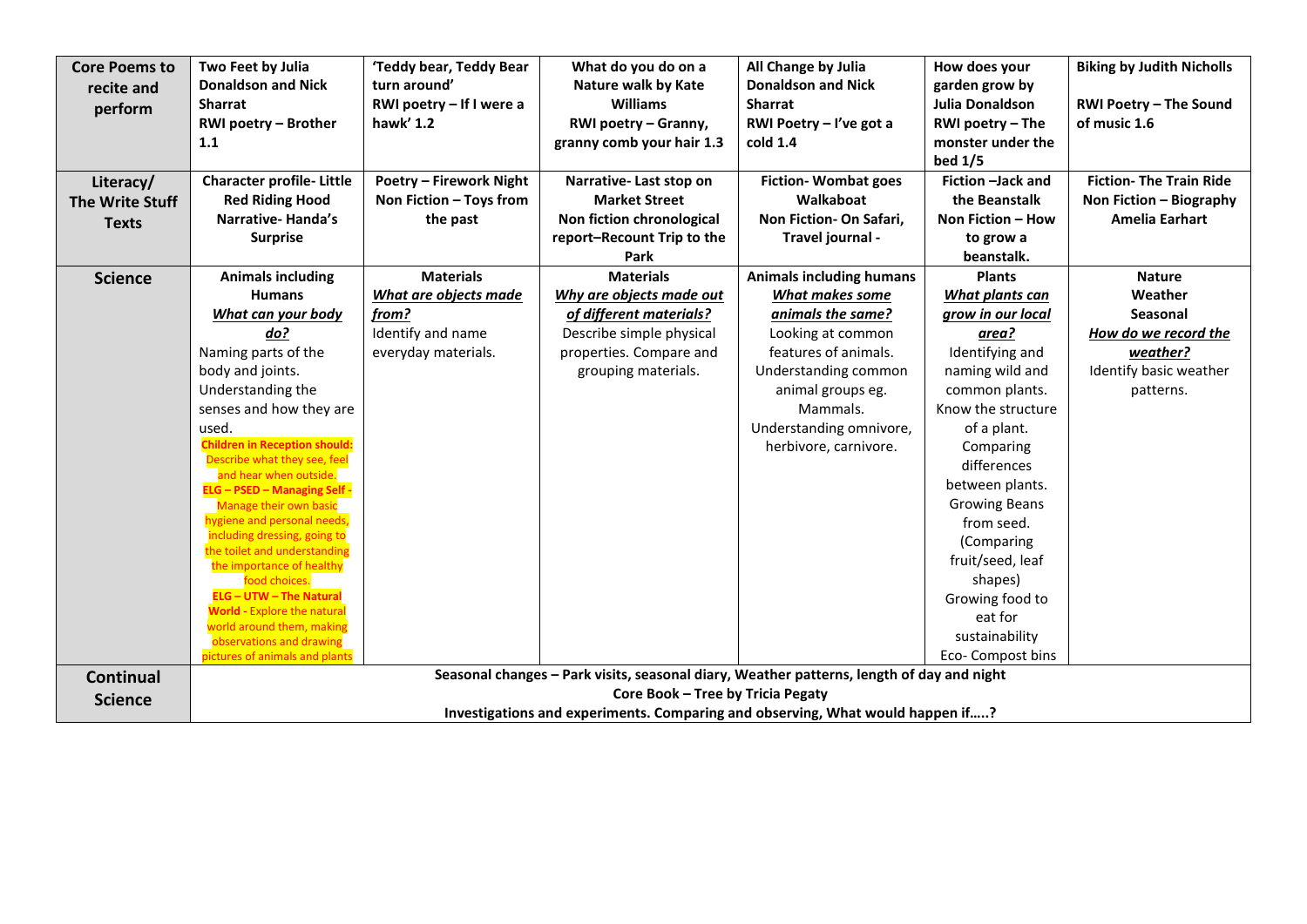| <b>Core Poems to</b><br>recite and<br>perform<br>Literacy/<br>The Write Stuff | Two Feet by Julia<br><b>Donaldson and Nick</b><br><b>Sharrat</b><br><b>RWI poetry - Brother</b><br>1.1<br><b>Character profile-Little</b><br><b>Red Riding Hood</b> | 'Teddy bear, Teddy Bear<br>turn around'<br>RWI poetry - If I were a<br>hawk' 1.2<br><b>Poetry - Firework Night</b><br>Non Fiction - Toys from | What do you do on a<br>Nature walk by Kate<br><b>Williams</b><br>RWI poetry - Granny,<br>granny comb your hair 1.3<br>Narrative-Last stop on<br><b>Market Street</b> | All Change by Julia<br><b>Donaldson and Nick</b><br><b>Sharrat</b><br>RWI Poetry - I've got a<br>cold 1.4<br><b>Fiction- Wombat goes</b><br>Walkaboat | How does your<br>garden grow by<br>Julia Donaldson<br>RWI poetry - The<br>monster under the<br>bed $1/5$<br>Fiction -Jack and<br>the Beanstalk | <b>Biking by Judith Nicholls</b><br><b>RWI Poetry - The Sound</b><br>of music 1.6<br><b>Fiction- The Train Ride</b><br>Non Fiction - Biography |
|-------------------------------------------------------------------------------|---------------------------------------------------------------------------------------------------------------------------------------------------------------------|-----------------------------------------------------------------------------------------------------------------------------------------------|----------------------------------------------------------------------------------------------------------------------------------------------------------------------|-------------------------------------------------------------------------------------------------------------------------------------------------------|------------------------------------------------------------------------------------------------------------------------------------------------|------------------------------------------------------------------------------------------------------------------------------------------------|
| <b>Texts</b>                                                                  | <b>Narrative-Handa's</b>                                                                                                                                            | the past                                                                                                                                      | Non fiction chronological                                                                                                                                            | Non Fiction- On Safari,                                                                                                                               | Non Fiction - How                                                                                                                              | <b>Amelia Earhart</b>                                                                                                                          |
|                                                                               | <b>Surprise</b>                                                                                                                                                     |                                                                                                                                               | report-Recount Trip to the                                                                                                                                           | Travel journal -                                                                                                                                      | to grow a                                                                                                                                      |                                                                                                                                                |
|                                                                               |                                                                                                                                                                     |                                                                                                                                               | Park                                                                                                                                                                 |                                                                                                                                                       | beanstalk.                                                                                                                                     |                                                                                                                                                |
| <b>Science</b>                                                                | <b>Animals including</b>                                                                                                                                            | <b>Materials</b>                                                                                                                              | <b>Materials</b>                                                                                                                                                     | <b>Animals including humans</b>                                                                                                                       | <b>Plants</b>                                                                                                                                  | <b>Nature</b>                                                                                                                                  |
|                                                                               | <b>Humans</b>                                                                                                                                                       | What are objects made                                                                                                                         | Why are objects made out                                                                                                                                             | What makes some                                                                                                                                       | What plants can                                                                                                                                | Weather<br>Seasonal                                                                                                                            |
|                                                                               | What can your body<br>do?                                                                                                                                           | from?<br>Identify and name                                                                                                                    | of different materials?<br>Describe simple physical                                                                                                                  | animals the same?<br>Looking at common                                                                                                                | grow in our local<br>area?                                                                                                                     | How do we record the                                                                                                                           |
|                                                                               | Naming parts of the                                                                                                                                                 | everyday materials.                                                                                                                           | properties. Compare and                                                                                                                                              | features of animals.                                                                                                                                  | Identifying and                                                                                                                                | weather?                                                                                                                                       |
|                                                                               | body and joints.                                                                                                                                                    |                                                                                                                                               | grouping materials.                                                                                                                                                  | Understanding common                                                                                                                                  | naming wild and                                                                                                                                | Identify basic weather                                                                                                                         |
|                                                                               | Understanding the                                                                                                                                                   |                                                                                                                                               |                                                                                                                                                                      | animal groups eg.                                                                                                                                     | common plants.                                                                                                                                 | patterns.                                                                                                                                      |
|                                                                               | senses and how they are                                                                                                                                             |                                                                                                                                               |                                                                                                                                                                      | Mammals.                                                                                                                                              | Know the structure                                                                                                                             |                                                                                                                                                |
|                                                                               | used.                                                                                                                                                               |                                                                                                                                               |                                                                                                                                                                      | Understanding omnivore,                                                                                                                               | of a plant.                                                                                                                                    |                                                                                                                                                |
|                                                                               | <b>Children in Reception should:</b>                                                                                                                                |                                                                                                                                               |                                                                                                                                                                      | herbivore, carnivore.                                                                                                                                 | Comparing                                                                                                                                      |                                                                                                                                                |
|                                                                               | Describe what they see, feel<br>and hear when outside.                                                                                                              |                                                                                                                                               |                                                                                                                                                                      |                                                                                                                                                       | differences                                                                                                                                    |                                                                                                                                                |
|                                                                               | ELG - PSED - Managing Self -                                                                                                                                        |                                                                                                                                               |                                                                                                                                                                      |                                                                                                                                                       | between plants.                                                                                                                                |                                                                                                                                                |
|                                                                               | <b>Manage their own basic</b>                                                                                                                                       |                                                                                                                                               |                                                                                                                                                                      |                                                                                                                                                       | <b>Growing Beans</b>                                                                                                                           |                                                                                                                                                |
|                                                                               | hygiene and personal needs,<br>including dressing, going to                                                                                                         |                                                                                                                                               |                                                                                                                                                                      |                                                                                                                                                       | from seed.                                                                                                                                     |                                                                                                                                                |
|                                                                               | the toilet and understanding                                                                                                                                        |                                                                                                                                               |                                                                                                                                                                      |                                                                                                                                                       | (Comparing                                                                                                                                     |                                                                                                                                                |
|                                                                               | the importance of healthy                                                                                                                                           |                                                                                                                                               |                                                                                                                                                                      |                                                                                                                                                       | fruit/seed, leaf                                                                                                                               |                                                                                                                                                |
|                                                                               | food choices.<br><b>ELG - UTW - The Natural</b>                                                                                                                     |                                                                                                                                               |                                                                                                                                                                      |                                                                                                                                                       | shapes)<br>Growing food to                                                                                                                     |                                                                                                                                                |
|                                                                               | <b>World - Explore the natural</b>                                                                                                                                  |                                                                                                                                               |                                                                                                                                                                      |                                                                                                                                                       | eat for                                                                                                                                        |                                                                                                                                                |
|                                                                               | world around them, making                                                                                                                                           |                                                                                                                                               |                                                                                                                                                                      |                                                                                                                                                       | sustainability                                                                                                                                 |                                                                                                                                                |
|                                                                               | observations and drawing<br>pictures of animals and plants                                                                                                          |                                                                                                                                               |                                                                                                                                                                      |                                                                                                                                                       | Eco-Compost bins                                                                                                                               |                                                                                                                                                |
| <b>Continual</b>                                                              |                                                                                                                                                                     |                                                                                                                                               | Seasonal changes - Park visits, seasonal diary, Weather patterns, length of day and night                                                                            |                                                                                                                                                       |                                                                                                                                                |                                                                                                                                                |
| <b>Science</b>                                                                |                                                                                                                                                                     |                                                                                                                                               | Core Book - Tree by Tricia Pegaty                                                                                                                                    |                                                                                                                                                       |                                                                                                                                                |                                                                                                                                                |
|                                                                               | Investigations and experiments. Comparing and observing, What would happen if?                                                                                      |                                                                                                                                               |                                                                                                                                                                      |                                                                                                                                                       |                                                                                                                                                |                                                                                                                                                |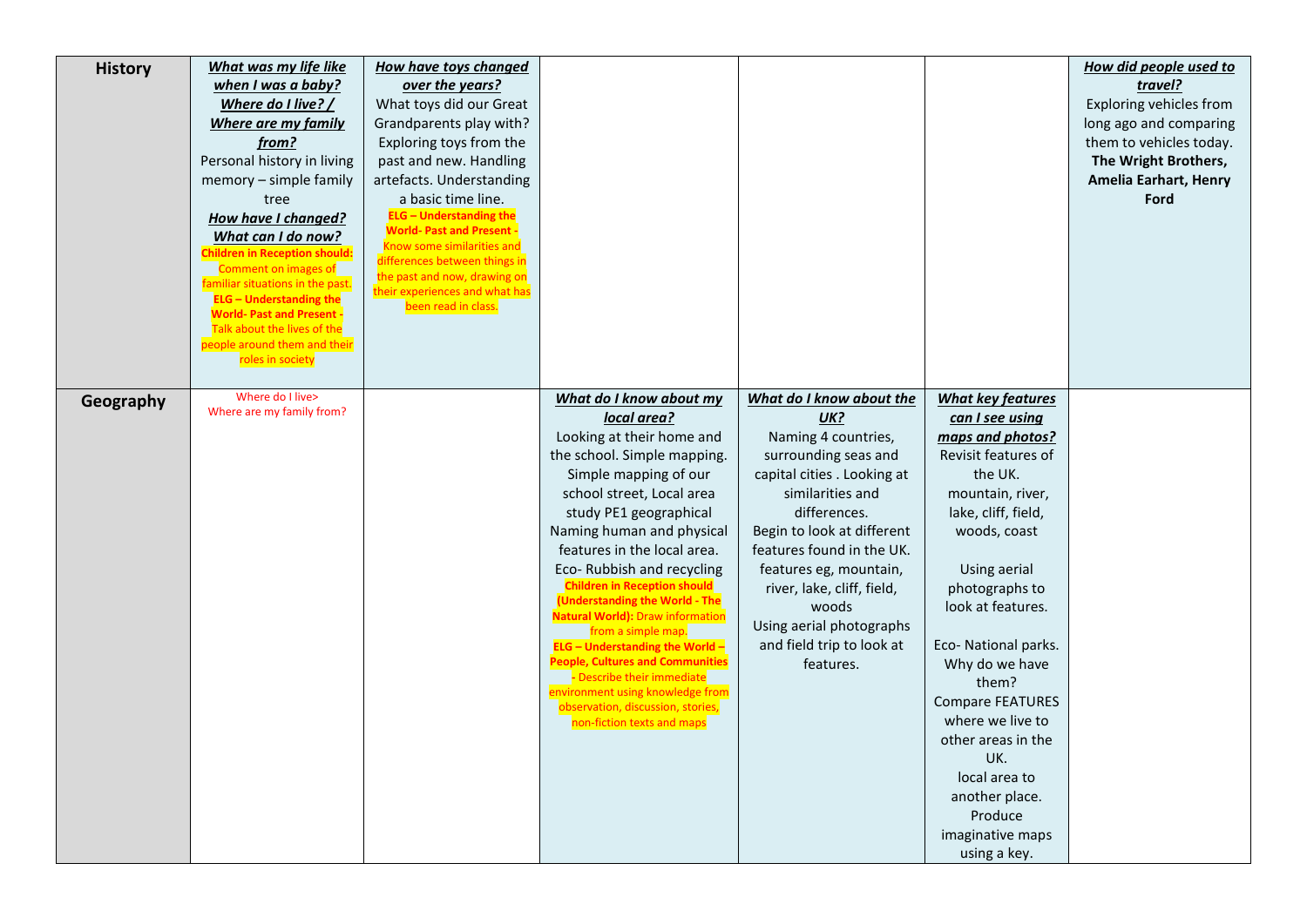| <b>History</b> | What was my life like<br>when I was a baby?<br>Where do I live? /<br>Where are my family<br>from?<br>Personal history in living<br>memory - simple family<br>tree<br>How have I changed?<br>What can I do now?<br><b>Children in Reception should:</b><br>Comment on images of<br>familiar situations in the past.<br><b>ELG</b> - Understanding the<br><b>World-Past and Present-</b><br>Talk about the lives of the<br>people around them and their<br>roles in society | <b>How have toys changed</b><br>over the years?<br>What toys did our Great<br>Grandparents play with?<br>Exploring toys from the<br>past and new. Handling<br>artefacts. Understanding<br>a basic time line.<br><b>ELG</b> - Understanding the<br><b>World-Past and Present -</b><br>Know some similarities and<br>differences between things in<br>the past and now, drawing on<br>their experiences and what has<br>been read in class. |                                                                                                                                                                                                                                                                                                                                                                                                                                                                                                                                                                                                                                           |                                                                                                                                                                                                                                                                                                                                                             |                                                                                                                                                                                                                                                                                                                                                                                                                                      | How did people used to<br>travel?<br>Exploring vehicles from<br>long ago and comparing<br>them to vehicles today.<br>The Wright Brothers,<br>Amelia Earhart, Henry<br>Ford |
|----------------|---------------------------------------------------------------------------------------------------------------------------------------------------------------------------------------------------------------------------------------------------------------------------------------------------------------------------------------------------------------------------------------------------------------------------------------------------------------------------|-------------------------------------------------------------------------------------------------------------------------------------------------------------------------------------------------------------------------------------------------------------------------------------------------------------------------------------------------------------------------------------------------------------------------------------------|-------------------------------------------------------------------------------------------------------------------------------------------------------------------------------------------------------------------------------------------------------------------------------------------------------------------------------------------------------------------------------------------------------------------------------------------------------------------------------------------------------------------------------------------------------------------------------------------------------------------------------------------|-------------------------------------------------------------------------------------------------------------------------------------------------------------------------------------------------------------------------------------------------------------------------------------------------------------------------------------------------------------|--------------------------------------------------------------------------------------------------------------------------------------------------------------------------------------------------------------------------------------------------------------------------------------------------------------------------------------------------------------------------------------------------------------------------------------|----------------------------------------------------------------------------------------------------------------------------------------------------------------------------|
| Geography      | Where do I live><br>Where are my family from?                                                                                                                                                                                                                                                                                                                                                                                                                             |                                                                                                                                                                                                                                                                                                                                                                                                                                           | What do I know about my<br>local area?<br>Looking at their home and<br>the school. Simple mapping.<br>Simple mapping of our<br>school street, Local area<br>study PE1 geographical<br>Naming human and physical<br>features in the local area.<br>Eco- Rubbish and recycling<br><b>Children in Reception should</b><br>(Understanding the World - The<br><b>Natural World): Draw information</b><br>from a simple map.<br>ELG - Understanding the World -<br><b>People, Cultures and Communities</b><br>- Describe their immediate<br>environment using knowledge from<br>observation, discussion, stories,<br>non-fiction texts and maps | What do I know about the<br><u> UК?</u><br>Naming 4 countries,<br>surrounding seas and<br>capital cities . Looking at<br>similarities and<br>differences.<br>Begin to look at different<br>features found in the UK.<br>features eg, mountain,<br>river, lake, cliff, field,<br>woods<br>Using aerial photographs<br>and field trip to look at<br>features. | <b>What key features</b><br>can I see using<br>maps and photos?<br>Revisit features of<br>the UK.<br>mountain, river,<br>lake, cliff, field,<br>woods, coast<br>Using aerial<br>photographs to<br>look at features.<br>Eco- National parks.<br>Why do we have<br>them?<br><b>Compare FEATURES</b><br>where we live to<br>other areas in the<br>UK.<br>local area to<br>another place.<br>Produce<br>imaginative maps<br>using a key. |                                                                                                                                                                            |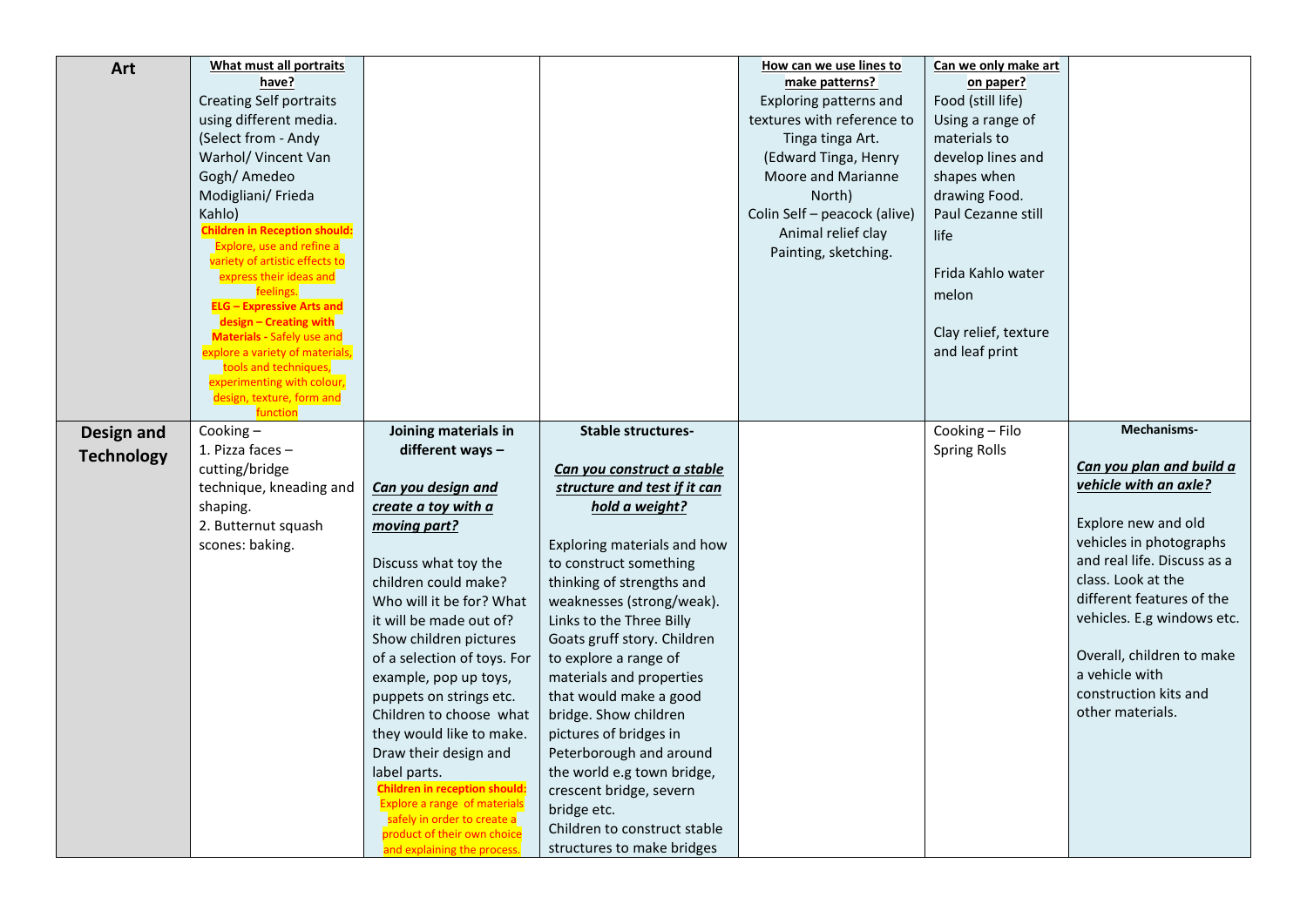| Art                                    | What must all portraits<br>have?<br><b>Creating Self portraits</b><br>using different media.<br>(Select from - Andy<br>Warhol/ Vincent Van<br>Gogh/Amedeo<br>Modigliani/ Frieda<br>Kahlo)<br><b>Children in Reception should:</b><br><b>Explore, use and refine a</b><br>variety of artistic effects to<br>express their ideas and<br>feelings.<br><b>ELG</b> - Expressive Arts and |                                                                                                                                                                                                                                                                                                                                                                                                                                                                                                                                                                                                       |                                                                                                                                                                                                                                                                                                                                                                                                                                                                                                                                                                                            | How can we use lines to<br>make patterns?<br>Exploring patterns and<br>textures with reference to<br>Tinga tinga Art.<br>(Edward Tinga, Henry<br>Moore and Marianne<br>North)<br>Colin Self - peacock (alive)<br>Animal relief clay<br>Painting, sketching. | Can we only make art<br>on paper?<br>Food (still life)<br>Using a range of<br>materials to<br>develop lines and<br>shapes when<br>drawing Food.<br>Paul Cezanne still<br>life<br>Frida Kahlo water<br>melon |                                                                                                                                                                                                                                                                                                                                |
|----------------------------------------|-------------------------------------------------------------------------------------------------------------------------------------------------------------------------------------------------------------------------------------------------------------------------------------------------------------------------------------------------------------------------------------|-------------------------------------------------------------------------------------------------------------------------------------------------------------------------------------------------------------------------------------------------------------------------------------------------------------------------------------------------------------------------------------------------------------------------------------------------------------------------------------------------------------------------------------------------------------------------------------------------------|--------------------------------------------------------------------------------------------------------------------------------------------------------------------------------------------------------------------------------------------------------------------------------------------------------------------------------------------------------------------------------------------------------------------------------------------------------------------------------------------------------------------------------------------------------------------------------------------|-------------------------------------------------------------------------------------------------------------------------------------------------------------------------------------------------------------------------------------------------------------|-------------------------------------------------------------------------------------------------------------------------------------------------------------------------------------------------------------|--------------------------------------------------------------------------------------------------------------------------------------------------------------------------------------------------------------------------------------------------------------------------------------------------------------------------------|
|                                        | design - Creating with<br><b>Materials - Safely use and</b><br>explore a variety of materials,<br>tools and techniques,<br>experimenting with colour,<br>design, texture, form and<br>function                                                                                                                                                                                      |                                                                                                                                                                                                                                                                                                                                                                                                                                                                                                                                                                                                       |                                                                                                                                                                                                                                                                                                                                                                                                                                                                                                                                                                                            |                                                                                                                                                                                                                                                             | Clay relief, texture<br>and leaf print                                                                                                                                                                      |                                                                                                                                                                                                                                                                                                                                |
| <b>Design and</b><br><b>Technology</b> | Cooking-<br>1. Pizza faces -<br>cutting/bridge<br>technique, kneading and<br>shaping.<br>2. Butternut squash<br>scones: baking.                                                                                                                                                                                                                                                     | Joining materials in<br>different ways -<br>Can you design and<br>create a toy with a<br>moving part?<br>Discuss what toy the<br>children could make?<br>Who will it be for? What<br>it will be made out of?<br>Show children pictures<br>of a selection of toys. For<br>example, pop up toys,<br>puppets on strings etc.<br>Children to choose what<br>they would like to make.<br>Draw their design and<br>label parts.<br><b>Children in reception should:</b><br><b>Explore a range of materials</b><br>safely in order to create a<br>product of their own choice<br>and explaining the process. | <b>Stable structures-</b><br>Can you construct a stable<br>structure and test if it can<br>hold a weight?<br>Exploring materials and how<br>to construct something<br>thinking of strengths and<br>weaknesses (strong/weak).<br>Links to the Three Billy<br>Goats gruff story. Children<br>to explore a range of<br>materials and properties<br>that would make a good<br>bridge. Show children<br>pictures of bridges in<br>Peterborough and around<br>the world e.g town bridge,<br>crescent bridge, severn<br>bridge etc.<br>Children to construct stable<br>structures to make bridges |                                                                                                                                                                                                                                                             | Cooking - Filo<br><b>Spring Rolls</b>                                                                                                                                                                       | Mechanisms-<br>Can you plan and build a<br>vehicle with an axle?<br>Explore new and old<br>vehicles in photographs<br>and real life. Discuss as a<br>class. Look at the<br>different features of the<br>vehicles. E.g windows etc.<br>Overall, children to make<br>a vehicle with<br>construction kits and<br>other materials. |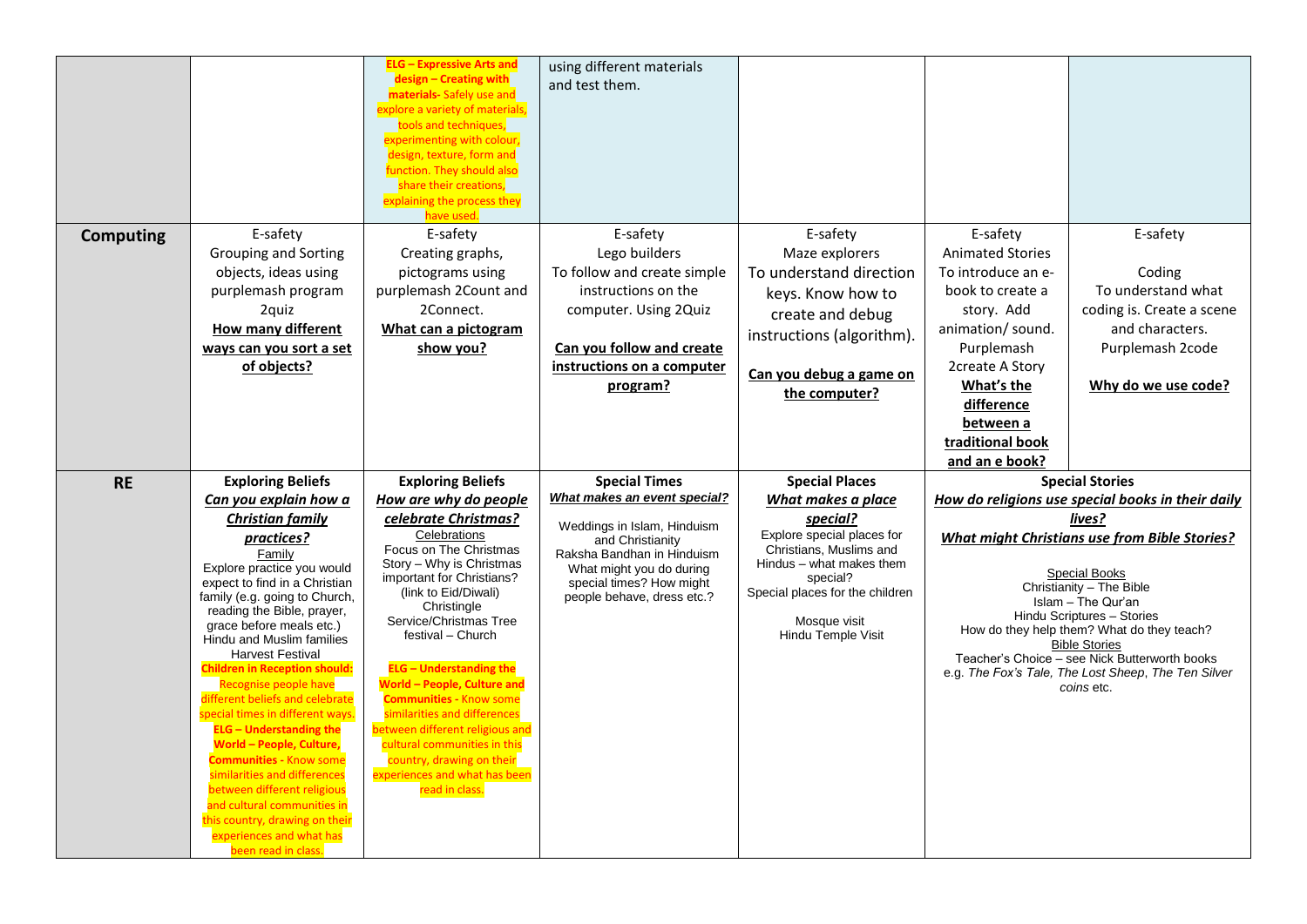|                  |                                                                                                                                                                                                                                                                                                                                                                                                                                                                                                                                                                                                                                                                                                                                                          | <b>ELG</b> - Expressive Arts and<br>design - Creating with<br>materials- Safely use and<br>explore a variety of materials,<br>tools and techniques,<br>experimenting with colour,<br>design, texture, form and<br>function. They should also<br>share their creations,<br>explaining the process they<br>have used.                                                                                                                                                                                                                                             | using different materials<br>and test them.                                                                                                                                                                                 |                                                                                                                                                                                                                                   |                                                                                                                                                                                                                                  |                                                                                                                                                                                                                                                                                                                                                                                                                                                   |
|------------------|----------------------------------------------------------------------------------------------------------------------------------------------------------------------------------------------------------------------------------------------------------------------------------------------------------------------------------------------------------------------------------------------------------------------------------------------------------------------------------------------------------------------------------------------------------------------------------------------------------------------------------------------------------------------------------------------------------------------------------------------------------|-----------------------------------------------------------------------------------------------------------------------------------------------------------------------------------------------------------------------------------------------------------------------------------------------------------------------------------------------------------------------------------------------------------------------------------------------------------------------------------------------------------------------------------------------------------------|-----------------------------------------------------------------------------------------------------------------------------------------------------------------------------------------------------------------------------|-----------------------------------------------------------------------------------------------------------------------------------------------------------------------------------------------------------------------------------|----------------------------------------------------------------------------------------------------------------------------------------------------------------------------------------------------------------------------------|---------------------------------------------------------------------------------------------------------------------------------------------------------------------------------------------------------------------------------------------------------------------------------------------------------------------------------------------------------------------------------------------------------------------------------------------------|
| <b>Computing</b> | E-safety<br><b>Grouping and Sorting</b><br>objects, ideas using<br>purplemash program<br>2quiz<br><b>How many different</b><br>ways can you sort a set<br>of objects?                                                                                                                                                                                                                                                                                                                                                                                                                                                                                                                                                                                    | E-safety<br>Creating graphs,<br>pictograms using<br>purplemash 2Count and<br>2Connect.<br>What can a pictogram<br>show you?                                                                                                                                                                                                                                                                                                                                                                                                                                     | E-safety<br>Lego builders<br>To follow and create simple<br>instructions on the<br>computer. Using 2Quiz<br>Can you follow and create<br>instructions on a computer<br>program?                                             | E-safety<br>Maze explorers<br>To understand direction<br>keys. Know how to<br>create and debug<br>instructions (algorithm).<br>Can you debug a game on<br>the computer?                                                           | E-safety<br><b>Animated Stories</b><br>To introduce an e-<br>book to create a<br>story. Add<br>animation/ sound.<br>Purplemash<br>2create A Story<br>What's the<br>difference<br>between a<br>traditional book<br>and an e book? | E-safety<br>Coding<br>To understand what<br>coding is. Create a scene<br>and characters.<br>Purplemash 2code<br>Why do we use code?                                                                                                                                                                                                                                                                                                               |
| <b>RE</b>        | <b>Exploring Beliefs</b><br>Can you explain how a<br><b>Christian family</b><br>practices?<br>Family<br>Explore practice you would<br>expect to find in a Christian<br>family (e.g. going to Church,<br>reading the Bible, prayer,<br>grace before meals etc.)<br>Hindu and Muslim families<br><b>Harvest Festival</b><br><b>Children in Reception should:</b><br>Recognise people have<br>different beliefs and celebrate<br>special times in different ways.<br><b>ELG</b> - Understanding the<br><b>World - People, Culture,</b><br><b>Communities - Know some</b><br>similarities and differences<br>between different religious<br>and cultural communities in<br>this country, drawing on their<br>experiences and what has<br>been read in class. | <b>Exploring Beliefs</b><br>How are why do people<br>celebrate Christmas?<br>Celebrations<br>Focus on The Christmas<br>Story - Why is Christmas<br>important for Christians?<br>(link to Eid/Diwali)<br>Christingle<br>Service/Christmas Tree<br>festival - Church<br><b>ELG</b> - Understanding the<br><b>World - People, Culture and</b><br><b>Communities - Know some</b><br>similarities and differences<br>between different religious and<br>cultural communities in this<br>country, drawing on their<br>experiences and what has been<br>read in class. | <b>Special Times</b><br>What makes an event special?<br>Weddings in Islam, Hinduism<br>and Christianity<br>Raksha Bandhan in Hinduism<br>What might you do during<br>special times? How might<br>people behave, dress etc.? | <b>Special Places</b><br>What makes a place<br>special?<br>Explore special places for<br>Christians, Muslims and<br>Hindus - what makes them<br>special?<br>Special places for the children<br>Mosque visit<br>Hindu Temple Visit |                                                                                                                                                                                                                                  | <b>Special Stories</b><br>How do religions use special books in their daily<br>lives?<br><b>What might Christians use from Bible Stories?</b><br><b>Special Books</b><br>Christianity - The Bible<br>Islam - The Qur'an<br>Hindu Scriptures - Stories<br>How do they help them? What do they teach?<br><b>Bible Stories</b><br>Teacher's Choice - see Nick Butterworth books<br>e.g. The Fox's Tale, The Lost Sheep, The Ten Silver<br>coins etc. |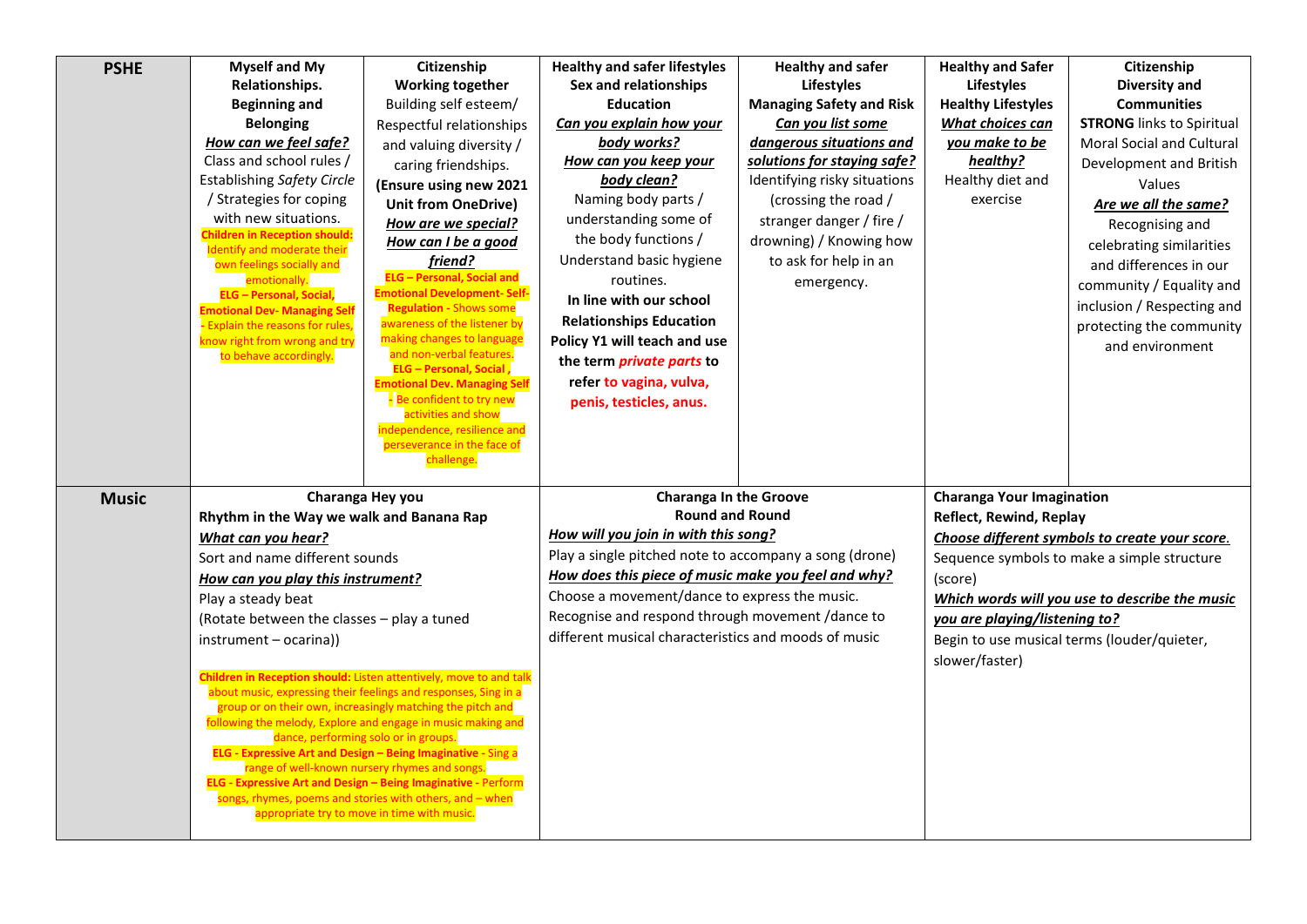| <b>PSHE</b>  | <b>Myself and My</b>                                                                                           | Citizenship                                                           | <b>Healthy and safer lifestyles</b>                                                                  | <b>Healthy and safer</b>        | <b>Healthy and Safer</b>         | Citizenship                                    |
|--------------|----------------------------------------------------------------------------------------------------------------|-----------------------------------------------------------------------|------------------------------------------------------------------------------------------------------|---------------------------------|----------------------------------|------------------------------------------------|
|              | Relationships.                                                                                                 | <b>Working together</b>                                               | Sex and relationships                                                                                | <b>Lifestyles</b>               | <b>Lifestyles</b>                | <b>Diversity and</b>                           |
|              | <b>Beginning and</b>                                                                                           | Building self esteem/                                                 | <b>Education</b>                                                                                     | <b>Managing Safety and Risk</b> | <b>Healthy Lifestyles</b>        | <b>Communities</b>                             |
|              | <b>Belonging</b>                                                                                               | Respectful relationships                                              | Can you explain how your                                                                             | Can you list some               | <b>What choices can</b>          | <b>STRONG</b> links to Spiritual               |
|              | How can we feel safe?                                                                                          | and valuing diversity /                                               | body works?                                                                                          | dangerous situations and        | you make to be                   | Moral Social and Cultural                      |
|              | Class and school rules /                                                                                       | caring friendships.                                                   | How can you keep your                                                                                | solutions for staying safe?     | healthy?                         | Development and British                        |
|              | Establishing Safety Circle                                                                                     | (Ensure using new 2021                                                | body clean?                                                                                          | Identifying risky situations    | Healthy diet and                 | Values                                         |
|              | / Strategies for coping                                                                                        | <b>Unit from OneDrive)</b>                                            | Naming body parts /                                                                                  | (crossing the road /            | exercise                         | Are we all the same?                           |
|              | with new situations.                                                                                           | How are we special?                                                   | understanding some of                                                                                | stranger danger / fire /        |                                  | Recognising and                                |
|              | <b>Children in Reception should:</b><br>Identify and moderate their                                            | How can I be a good                                                   | the body functions /                                                                                 | drowning) / Knowing how         |                                  | celebrating similarities                       |
|              | own feelings socially and                                                                                      | friend?                                                               | Understand basic hygiene                                                                             | to ask for help in an           |                                  | and differences in our                         |
|              | emotionally.                                                                                                   | <b>ELG</b> - Personal, Social and                                     | routines.                                                                                            | emergency.                      |                                  | community / Equality and                       |
|              | <b>ELG - Personal, Social,</b>                                                                                 | <b>Emotional Development-Self-</b><br><b>Regulation - Shows some</b>  | In line with our school                                                                              |                                 |                                  | inclusion / Respecting and                     |
|              | <b>Emotional Dev- Managing Self</b><br>- Explain the reasons for rules,                                        | awareness of the listener by                                          | <b>Relationships Education</b>                                                                       |                                 |                                  | protecting the community                       |
|              | know right from wrong and try                                                                                  | making changes to language                                            | Policy Y1 will teach and use                                                                         |                                 |                                  | and environment                                |
|              | to behave accordingly.                                                                                         | and non-verbal features.                                              | the term <i>private parts</i> to                                                                     |                                 |                                  |                                                |
|              |                                                                                                                | <b>ELG</b> - Personal, Social,<br><b>Emotional Dev. Managing Self</b> | refer to vagina, vulva,                                                                              |                                 |                                  |                                                |
|              |                                                                                                                | - Be confident to try new                                             | penis, testicles, anus.                                                                              |                                 |                                  |                                                |
|              |                                                                                                                | activities and show                                                   |                                                                                                      |                                 |                                  |                                                |
|              |                                                                                                                | independence, resilience and<br>perseverance in the face of           |                                                                                                      |                                 |                                  |                                                |
|              |                                                                                                                | challenge.                                                            |                                                                                                      |                                 |                                  |                                                |
|              |                                                                                                                |                                                                       |                                                                                                      |                                 |                                  |                                                |
| <b>Music</b> | Charanga Hey you                                                                                               |                                                                       | <b>Charanga In the Groove</b>                                                                        |                                 | <b>Charanga Your Imagination</b> |                                                |
|              | Rhythm in the Way we walk and Banana Rap                                                                       |                                                                       | <b>Round and Round</b>                                                                               |                                 | <b>Reflect, Rewind, Replay</b>   |                                                |
|              | What can you hear?                                                                                             |                                                                       | How will you join in with this song?                                                                 |                                 |                                  | Choose different symbols to create your score. |
|              | Sort and name different sounds                                                                                 |                                                                       | Play a single pitched note to accompany a song (drone)                                               |                                 |                                  | Sequence symbols to make a simple structure    |
|              | How can you play this instrument?                                                                              |                                                                       | How does this piece of music make you feel and why?<br>Choose a movement/dance to express the music. |                                 | (score)                          |                                                |
|              | Play a steady beat                                                                                             |                                                                       |                                                                                                      |                                 |                                  | Which words will you use to describe the music |
|              | (Rotate between the classes - play a tuned                                                                     |                                                                       | Recognise and respond through movement /dance to                                                     |                                 | you are playing/listening to?    |                                                |
|              | instrument - ocarina))                                                                                         |                                                                       | different musical characteristics and moods of music                                                 |                                 |                                  | Begin to use musical terms (louder/quieter,    |
|              |                                                                                                                |                                                                       |                                                                                                      |                                 | slower/faster)                   |                                                |
|              |                                                                                                                | Children in Reception should: Listen attentively, move to and talk    |                                                                                                      |                                 |                                  |                                                |
|              |                                                                                                                | about music, expressing their feelings and responses, Sing in a       |                                                                                                      |                                 |                                  |                                                |
|              | group or on their own, increasingly matching the pitch and                                                     | following the melody, Explore and engage in music making and          |                                                                                                      |                                 |                                  |                                                |
|              |                                                                                                                | dance, performing solo or in groups.                                  |                                                                                                      |                                 |                                  |                                                |
|              | ELG - Expressive Art and Design - Being Imaginative - Sing a                                                   |                                                                       |                                                                                                      |                                 |                                  |                                                |
|              | range of well-known nursery rhymes and songs.<br>ELG - Expressive Art and Design - Being Imaginative - Perform |                                                                       |                                                                                                      |                                 |                                  |                                                |
|              | songs, rhymes, poems and stories with others, and - when                                                       |                                                                       |                                                                                                      |                                 |                                  |                                                |
|              |                                                                                                                | appropriate try to move in time with music.                           |                                                                                                      |                                 |                                  |                                                |
|              |                                                                                                                |                                                                       |                                                                                                      |                                 |                                  |                                                |